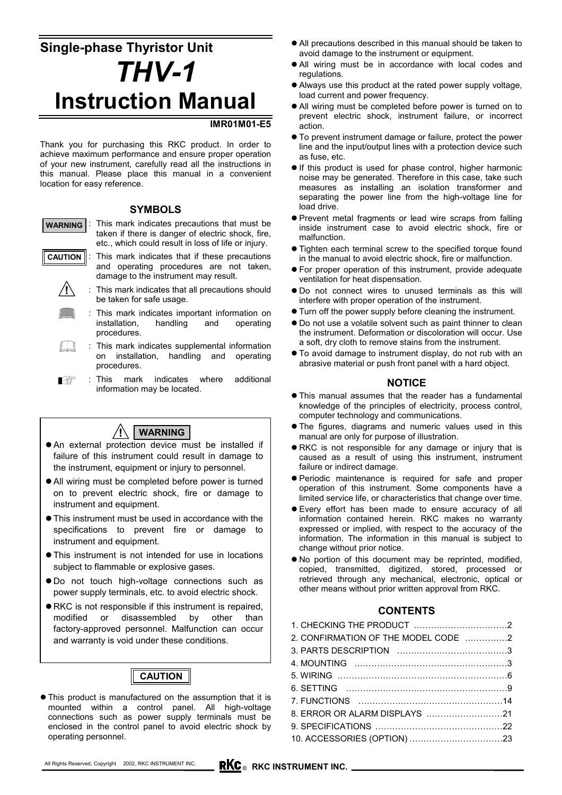# **Single-phase Thyristor Unit** *THV-1* **Instruction Manual**

### **IMR01M01-E5**

Thank you for purchasing this RKC product. In order to achieve maximum performance and ensure proper operation of your new instrument, carefully read all the instructions in this manual. Please place this manual in a convenient location for easy reference.

#### **SYMBOLS**

: This mark indicates precautions that must be taken if there is danger of electric shock, fire, etc., which could result in loss of life or injury. **WARNING**

 $\mathbb{I}$   $\mathbb{I}$ 

- : This mark indicates that if these precautions and operating procedures are not taken, damage to the instrument may result. **CAUTION**
	- This mark indicates that all precautions should be taken for safe usage. **!**
		- : This mark indicates important information on installation, handling and operating procedures.
	- $\Box$ : This mark indicates supplemental information on installation, handling and operating procedures.
	- : This mark indicates where additional Ⅰ₽ information may be located.



- An external protection device must be installed if failure of this instrument could result in damage to the instrument, equipment or injury to personnel.
- All wiring must be completed before power is turned on to prevent electric shock, fire or damage to instrument and equipment.
- $\bullet$  This instrument must be used in accordance with the specifications to prevent fire or damage to instrument and equipment.
- This instrument is not intended for use in locations subject to flammable or explosive gases.
- $\bullet$  Do not touch high-voltage connections such as power supply terminals, etc. to avoid electric shock.
- $\bullet$  RKC is not responsible if this instrument is repaired, modified or disassembled by other than factory-approved personnel. Malfunction can occur and warranty is void under these conditions.



 $\bullet$  This product is manufactured on the assumption that it is mounted within a control panel. All high-voltage connections such as power supply terminals must be enclosed in the control panel to avoid electric shock by operating personnel.

- All precautions described in this manual should be taken to avoid damage to the instrument or equipment.
- All wiring must be in accordance with local codes and regulations.
- Always use this product at the rated power supply voltage, load current and power frequency.
- All wiring must be completed before power is turned on to prevent electric shock, instrument failure, or incorrect action.
- $\bullet$  To prevent instrument damage or failure, protect the power line and the input/output lines with a protection device such as fuse, etc.
- If this product is used for phase control, higher harmonic noise may be generated. Therefore in this case, take such measures as installing an isolation transformer and separating the power line from the high-voltage line for load drive.
- Prevent metal fragments or lead wire scraps from falling inside instrument case to avoid electric shock, fire or malfunction.
- Tighten each terminal screw to the specified torque found in the manual to avoid electric shock, fire or malfunction.
- For proper operation of this instrument, provide adequate ventilation for heat dispensation.
- $\bullet$  Do not connect wires to unused terminals as this will interfere with proper operation of the instrument.
- $\bullet$  Turn off the power supply before cleaning the instrument.
- $\bullet$  Do not use a volatile solvent such as paint thinner to clean the instrument. Deformation or discoloration will occur. Use a soft, dry cloth to remove stains from the instrument.
- $\bullet$  To avoid damage to instrument display, do not rub with an abrasive material or push front panel with a hard object.

#### **NOTICE**

- $\bullet$  This manual assumes that the reader has a fundamental knowledge of the principles of electricity, process control, computer technology and communications.
- The figures, diagrams and numeric values used in this manual are only for purpose of illustration.
- RKC is not responsible for any damage or injury that is caused as a result of using this instrument, instrument failure or indirect damage.
- z Periodic maintenance is required for safe and proper operation of this instrument. Some components have a limited service life, or characteristics that change over time.
- Every effort has been made to ensure accuracy of all information contained herein. RKC makes no warranty expressed or implied, with respect to the accuracy of the information. The information in this manual is subject to change without prior notice.
- No portion of this document may be reprinted, modified, copied, transmitted, digitized, stored, processed or retrieved through any mechanical, electronic, optical or other means without prior written approval from RKC.

# **CONTENTS**

1. CHECKING THE PRODUCT ……………………………2 2. CONFIRMATION OF THE MODEL CODE ……………2 3. PARTS DESCRIPTION …………………………………3 4. MOUNTING ………………………………………………3 5. WIRING ……………………………………………………6 6. SETTING …………………………………………………9 7. FUNCTIONS ……………………………………………14 8. ERROR OR ALARM DISPLAYS ………………………21 9. SPECIFICATIONS ………………………………………22 10. ACCESSORIES (OPTION) ……………………………23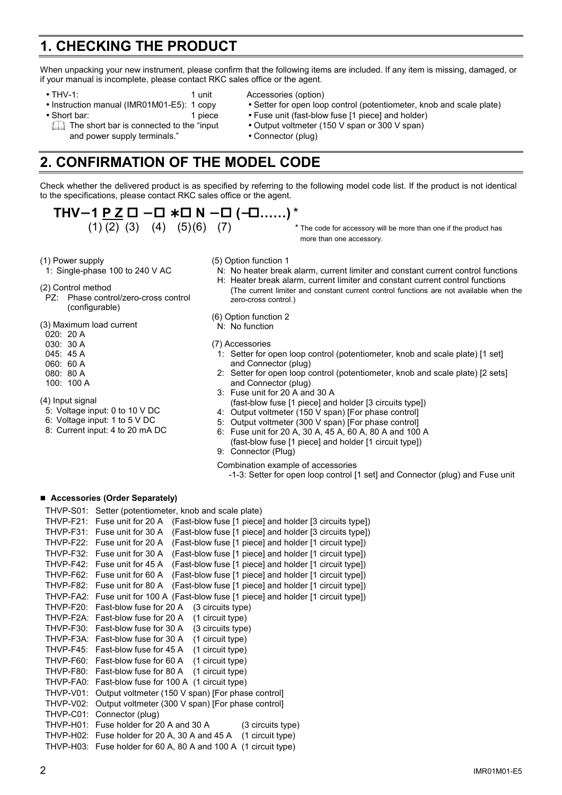# **1. CHECKING THE PRODUCT**

When unpacking your new instrument, please confirm that the following items are included. If any item is missing, damaged, or if your manual is incomplete, please contact RKC sales office or the agent.

- 
- 
- 
- THV-1: 1 unit Accessories (option)
- Instruction manual (IMR01M01-E5): 1 copy Setter for open loop control (potentiometer, knob and scale plate)
- Short bar:  $\bullet$  Fuse unit (fast-blow fuse [1 piece] and holder)
	- The short bar is connected to the "input Output voltmeter (150 V span or 300 V span)
		-
- and power supply terminals." Connector (plug)

# **2. CONFIRMATION OF THE MODEL CODE**

Check whether the delivered product is as specified by referring to the following model code list. If the product is not identical to the specifications, please contact RKC sales office or the agent.

$$
\mathsf{THV-1}\underline{\mathsf{P} \ \mathsf{Z}} \ \Box - \Box * \Box \ \mathsf{N} - \Box \ (-\Box.....)^*
$$

$$
(1) (2) (3) (4) (5) (6)
$$

- $(2)$   $(3)$   $(4)$   $(5)(6)$   $(7)$  \* The code for accessory will be more than one if the product has more than one accessory.
- (1) Power supply

1: Single-phase 100 to 240 V AC

- (2) Control method
- PZ: Phase control/zero-cross control (configurable)
- (3) Maximum load current
- 020: 20 A
- 030: 30 A
- 045: 45 A
- 060: 60 A
- 080: 80 A
- 100: 100 A
- (4) Input signal
- 5: Voltage input: 0 to 10 V DC
- 6: Voltage input: 1 to 5 V DC
- 8: Current input: 4 to 20 mA DC
- (5) Option function 1
	- N: No heater break alarm, current limiter and constant current control functions H: Heater break alarm, current limiter and constant current control functions
		- (The current limiter and constant current control functions are not available when the zero-cross control.)
- (6) Option function 2
- N: No function
- (7) Accessories
	- 1: Setter for open loop control (potentiometer, knob and scale plate) [1 set] and Connector (plug)
	- Setter for open loop control (potentiometer, knob and scale plate) [2 sets] and Connector (plug)
- 3: Fuse unit for 20 A and 30 A (fast-blow fuse [1 piece] and holder [3 circuits type])
- 4: Output voltmeter (150 V span) [For phase control]
- 5: Output voltmeter (300 V span) [For phase control]
- 6: Fuse unit for 20 A, 30 A, 45 A, 60 A, 80 A and 100 A (fast-blow fuse [1 piece] and holder [1 circuit type])
- 9: Connector (Plug)
- Combination example of accessories
	- -1-3: Setter for open loop control [1 set] and Connector (plug) and Fuse unit

#### **Accessories (Order Separately)**

THVP-S01: Setter (potentiometer, knob and scale plate) THVP-F21: Fuse unit for 20 A (Fast-blow fuse [1 piece] and holder [3 circuits type]) THVP-F31: Fuse unit for 30 A (Fast-blow fuse [1 piece] and holder [3 circuits type]) THVP-F22: Fuse unit for 20 A (Fast-blow fuse [1 piece] and holder [1 circuit type]) THVP-F32: Fuse unit for 30 A (Fast-blow fuse [1 piece] and holder [1 circuit type]) THVP-F42: Fuse unit for 45 A (Fast-blow fuse [1 piece] and holder [1 circuit type]) THVP-F62: Fuse unit for 60 A (Fast-blow fuse [1 piece] and holder [1 circuit type]) THVP-F82: Fuse unit for 80 A (Fast-blow fuse [1 piece] and holder [1 circuit type]) THVP-FA2: Fuse unit for 100 A (Fast-blow fuse [1 piece] and holder [1 circuit type]) THVP-F20: Fast-blow fuse for 20 A (3 circuits type) THVP-F2A: Fast-blow fuse for 20 A (1 circuit type) THVP-F30: Fast-blow fuse for 30 A (3 circuits type) THVP-F3A: Fast-blow fuse for 30 A (1 circuit type) THVP-F45: Fast-blow fuse for 45 A (1 circuit type) THVP-F60: Fast-blow fuse for 60 A (1 circuit type) THVP-F80: Fast-blow fuse for 80 A (1 circuit type) THVP-FA0: Fast-blow fuse for 100 A (1 circuit type) THVP-V01: Output voltmeter (150 V span) [For phase control] THVP-V02: Output voltmeter (300 V span) [For phase control] THVP-C01: Connector (plug) THVP-H01: Fuse holder for 20 A and 30 A (3 circuits type) THVP-H02: Fuse holder for 20 A, 30 A and 45 A (1 circuit type) THVP-H03: Fuse holder for 60 A, 80 A and 100 A (1 circuit type)

- -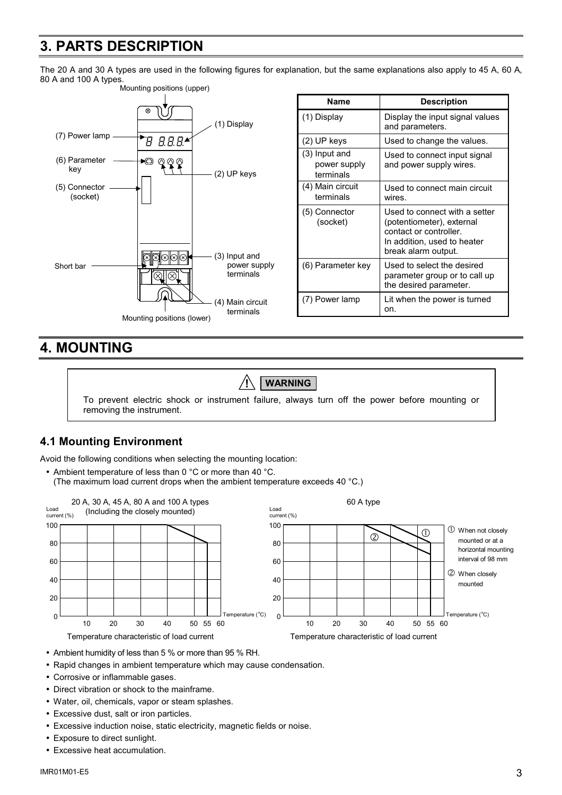# **3. PARTS DESCRIPTION**

The 20 A and 30 A types are used in the following figures for explanation, but the same explanations also apply to 45 A, 60 A, 80 A and 100 A types.



| Name                                         | <b>Description</b>                                                                                                                         |
|----------------------------------------------|--------------------------------------------------------------------------------------------------------------------------------------------|
| (1) Display                                  | Display the input signal values<br>and parameters.                                                                                         |
| (2) UP keys                                  | Used to change the values.                                                                                                                 |
| $(3)$ Input and<br>power supply<br>terminals | Used to connect input signal<br>and power supply wires.                                                                                    |
| (4) Main circuit<br>terminals                | Used to connect main circuit<br>wires.                                                                                                     |
| (5) Connector<br>(socket)                    | Used to connect with a setter<br>(potentiometer), external<br>contact or controller.<br>In addition, used to heater<br>break alarm output. |
| (6) Parameter key                            | Used to select the desired<br>parameter group or to call up<br>the desired parameter.                                                      |
| (7) Power lamp                               | Lit when the power is turned<br>on.                                                                                                        |

# **4. MOUNTING**

# **! WARNING**

To prevent electric shock or instrument failure, always turn off the power before mounting or removing the instrument.

# **4.1 Mounting Environment**

Avoid the following conditions when selecting the mounting location:

• Ambient temperature of less than 0 °C or more than 40 °C. (The maximum load current drops when the ambient temperature exceeds 40 °C.)



- Ambient humidity of less than 5 % or more than 95 % RH.
- Rapid changes in ambient temperature which may cause condensation.
- Corrosive or inflammable gases.
- Direct vibration or shock to the mainframe.
- Water, oil, chemicals, vapor or steam splashes.
- Excessive dust, salt or iron particles.
- Excessive induction noise, static electricity, magnetic fields or noise.
- Exposure to direct sunlight.
- Excessive heat accumulation.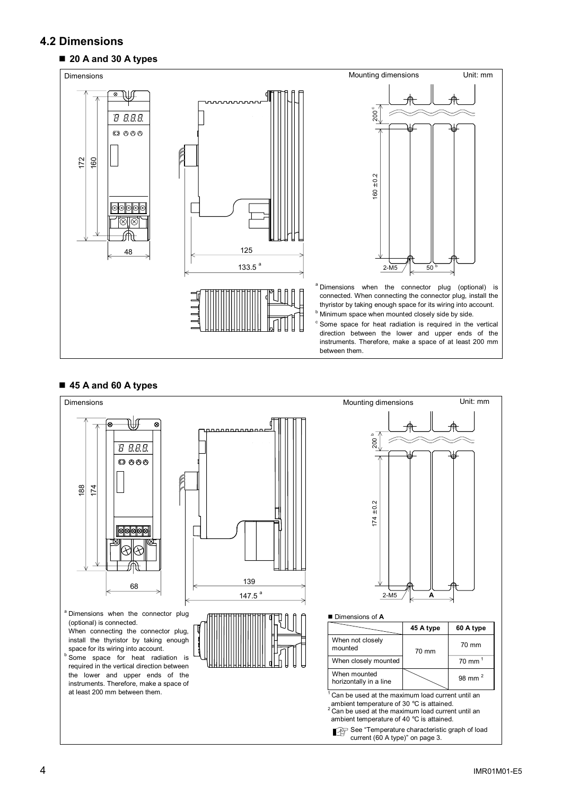# **4.2 Dimensions**

### **20 A and 30 A types**



### ■ 45 A and 60 A types

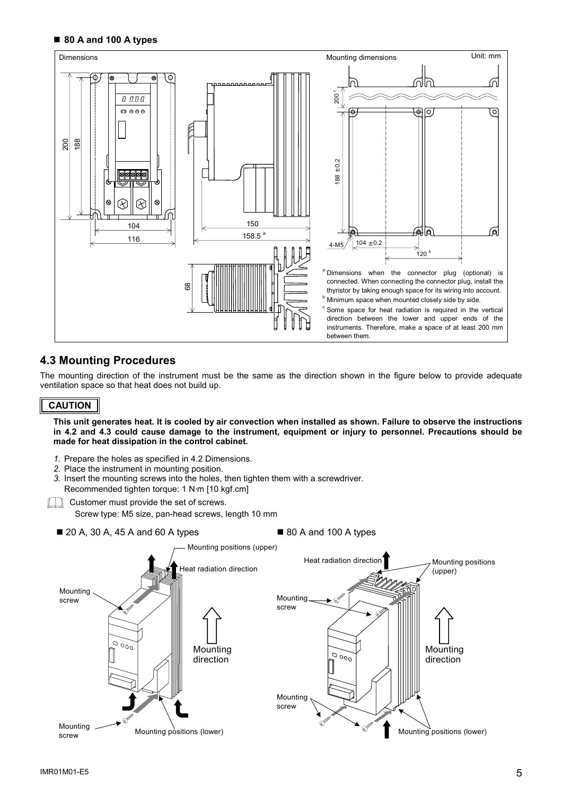#### ■ 80 A and 100 A types



# **4.3 Mounting Procedures**

The mounting direction of the instrument must be the same as the direction shown in the figure below to provide adequate ventilation space so that heat does not build up.

#### **CAUTION**

**This unit generates heat. It is cooled by air convection when installed as shown. Failure to observe the instructions in 4.2 and 4.3 could cause damage to the instrument, equipment or injury to personnel. Precautions should be made for heat dissipation in the control cabinet.** 

- *1.* Prepare the holes as specified in 4.2 Dimensions.
- *2.* Place the instrument in mounting position.
- *3.* Insert the mounting screws into the holes, then tighten them with a screwdriver. Recommended tighten torque: 1 N⋅m [10 kgf.cm]
- **THE Customer must provide the set of screws.**

Screw type: M5 size, pan-head screws, length 10 mm

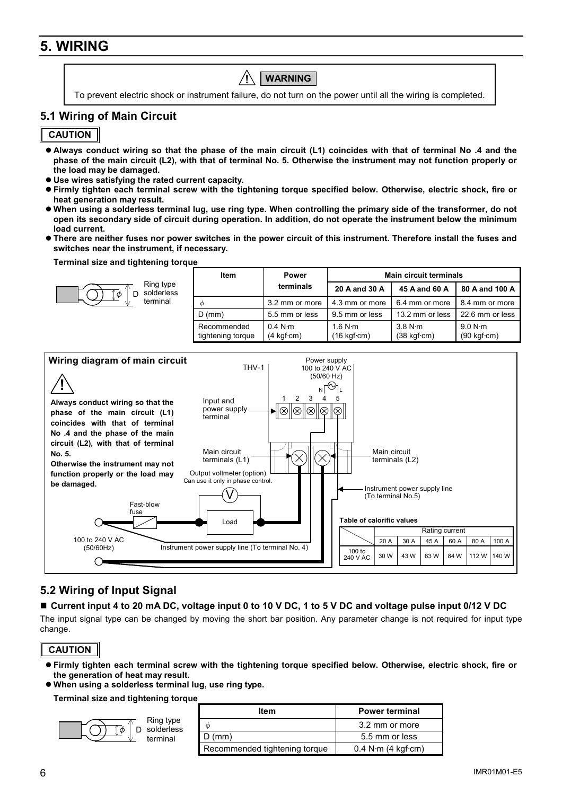# **5. WIRING**

To prevent electric shock or instrument failure, do not turn on the power until all the wiring is completed. **! WARNING** 

# **5.1 Wiring of Main Circuit**

# **CAUTION**

- Always conduct wiring so that the phase of the main circuit (L1) coincides with that of terminal No .4 and the **phase of the main circuit (L2), with that of terminal No. 5. Otherwise the instrument may not function properly or the load may be damaged.**
- $\bullet$  Use wires satisfying the rated current capacity.

- **Firmly tighten each terminal screw with the tightening torque specified below. Otherwise, electric shock, fire or heat generation may result.**
- When using a solderless terminal lug, use ring type. When controlling the primary side of the transformer, do not **open its secondary side of circuit during operation. In addition, do not operate the instrument below the minimum load current.**
- **There are neither fuses nor power switches in the power circuit of this instrument. Therefore install the fuses and switches near the instrument, if necessary.**

#### **Terminal size and tightening torque**

 $\overline{\phi}$  D

| Ring type<br>solderless | Item                             | <b>Power</b>                                 | <b>Main circuit terminals</b>                 |                                               |                                               |  |
|-------------------------|----------------------------------|----------------------------------------------|-----------------------------------------------|-----------------------------------------------|-----------------------------------------------|--|
|                         |                                  | terminals                                    | 20 A and 30 A                                 | 45 A and 60 A                                 | 80 A and 100 A                                |  |
| terminal                | ∩                                | 3.2 mm or more                               | 4.3 mm or more                                | 6.4 mm or more                                | 8.4 mm or more                                |  |
|                         | $D$ (mm)                         | 5.5 mm or less                               | 9.5 mm or less                                | 13.2 mm or less                               | 22.6 mm or less                               |  |
|                         | Recommended<br>tightening torque | 0.4 N·m<br>$(4 \text{ kgf} \cdot \text{cm})$ | 1.6 N·m<br>$(16 \text{ kgf} \cdot \text{cm})$ | 3.8 N·m<br>$(38 \text{ kgf} \cdot \text{cm})$ | 9.0 N·m<br>$(90 \text{ kgf} \cdot \text{cm})$ |  |



# **5.2 Wiring of Input Signal**

### **Current input 4 to 20 mA DC, voltage input 0 to 10 V DC, 1 to 5 V DC and voltage pulse input 0/12 V DC**

The input signal type can be changed by moving the short bar position. Any parameter change is not required for input type change.

**CAUTION**

- **Firmly tighten each terminal screw with the tightening torque specified below. Otherwise, electric shock, fire or the generation of heat may result.**
- $\bullet$  When using a solderless terminal lug, use ring type.

**Terminal size and tightening torque** 



| ltem                          | <b>Power terminal</b>                |
|-------------------------------|--------------------------------------|
|                               | 3.2 mm or more                       |
| $D$ (mm)                      | 5.5 mm or less                       |
| Recommended tightening torque | $0.4$ N $\cdot$ m (4 kgf $\cdot$ cm) |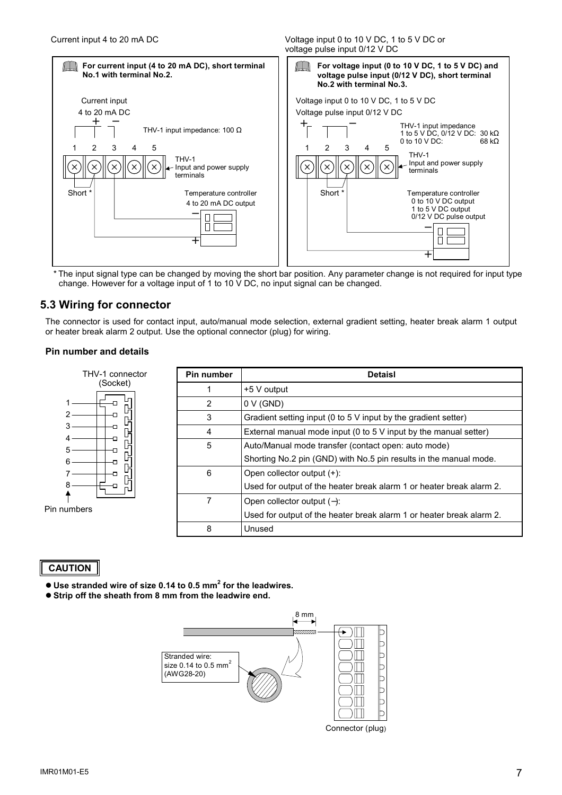Current input 4 to 20 mA DC Voltage input 0 to 10 V DC, 1 to 5 V DC or voltage pulse input 0/12 V DC



\* The input signal type can be changed by moving the short bar position. Any parameter change is not required for input type change. However for a voltage input of 1 to 10 V DC, no input signal can be changed.

# **5.3 Wiring for connector**

The connector is used for contact input, auto/manual mode selection, external gradient setting, heater break alarm 1 output or heater break alarm 2 output. Use the optional connector (plug) for wiring.

### **Pin number and details**

| THV-1 connector | Pin number | <b>Detaisl</b>                                                       |
|-----------------|------------|----------------------------------------------------------------------|
| (Socket)        |            | +5 V output                                                          |
|                 | 2          | 0 V (GND)                                                            |
| H               | 3          | Gradient setting input (0 to 5 V input by the gradient setter)       |
| 머               | 4          | External manual mode input (0 to $5V$ input by the manual setter)    |
| ዝ               | 5          | Auto/Manual mode transfer (contact open: auto mode)                  |
| 머               |            | Shorting No.2 pin (GND) with No.5 pin results in the manual mode.    |
|                 | 6          | Open collector output (+):                                           |
|                 |            | Used for output of the heater break alarm 1 or heater break alarm 2. |
|                 | 7          | Open collector output $(-)$ :                                        |
| ers             |            | Used for output of the heater break alarm 1 or heater break alarm 2. |
|                 | 8          | Unused                                                               |

### **CAUTION**

Pin numbers

↟

- $\bullet$  Use stranded wire of size 0.14 to 0.5 mm<sup>2</sup> for the leadwires.
- $\bullet$  **Strip off the sheath from 8 mm from the leadwire end.**



Connector (plug)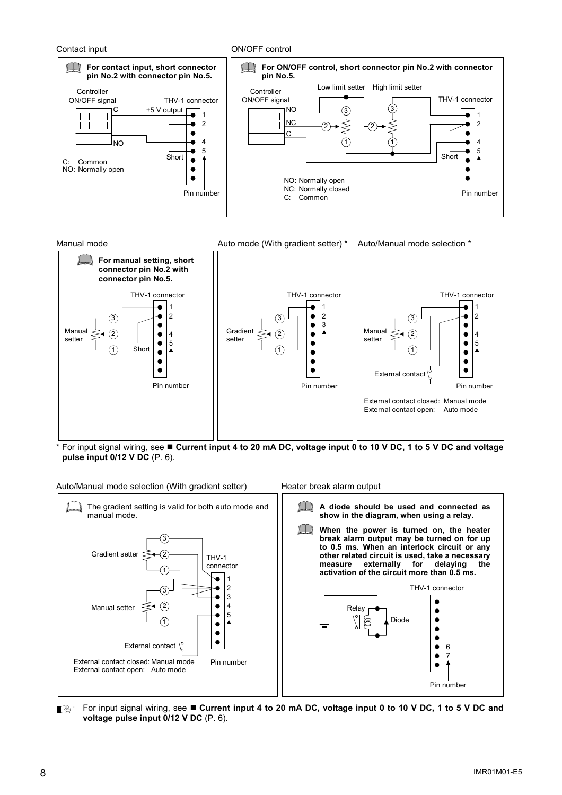



\* For input signal wiring, see **Current input 4 to 20 mA DC, voltage input 0 to 10 V DC, 1 to 5 V DC and voltage pulse input 0/12 V DC** (P. 6).



For input signal wiring, see **E** Current input 4 to 20 mA DC, voltage input 0 to 10 V DC, 1 to 5 V DC and Ⅰ₽ **voltage pulse input 0/12 V DC** (P. 6).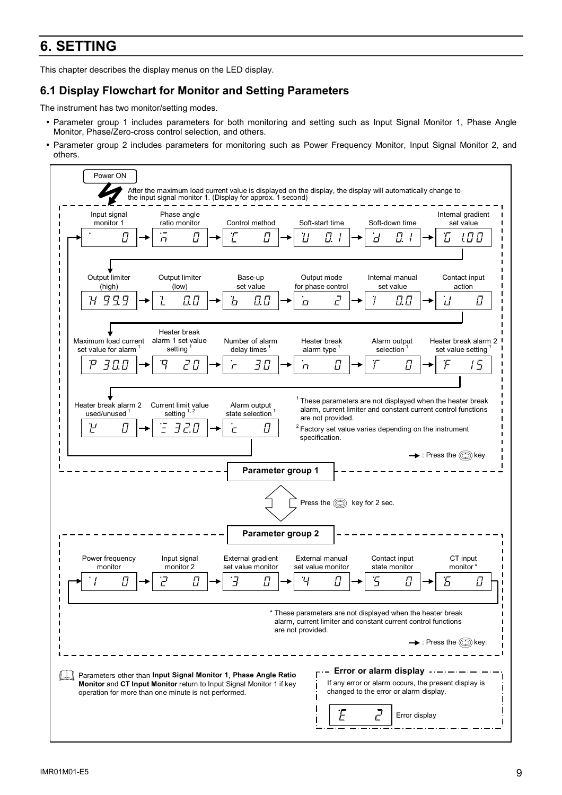# **6. SETTING**

This chapter describes the display menus on the LED display.

# **6.1 Display Flowchart for Monitor and Setting Parameters**

The instrument has two monitor/setting modes.

- Parameter group 1 includes parameters for both monitoring and setting such as Input Signal Monitor 1, Phase Angle Monitor, Phase/Zero-cross control selection, and others.
- Parameter group 2 includes parameters for monitoring such as Power Frequency Monitor, Input Signal Monitor 2, and others.

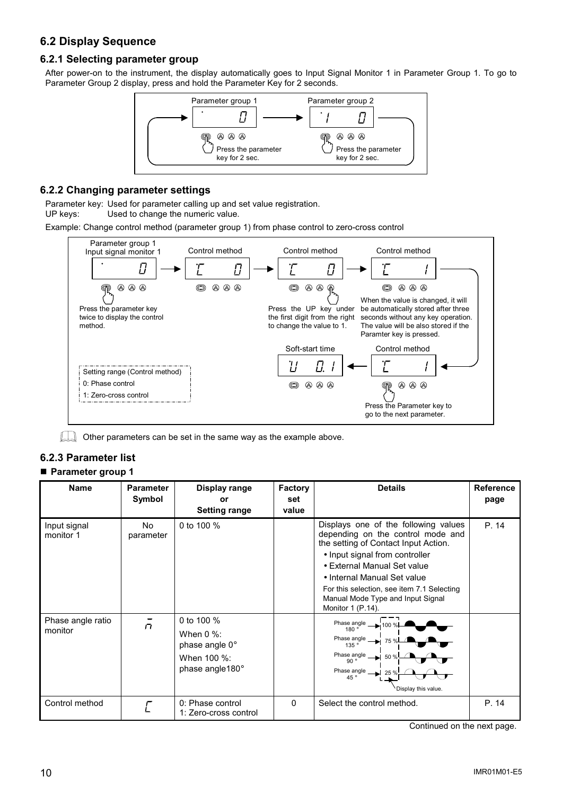# **6.2 Display Sequence**

# **6.2.1 Selecting parameter group**

After power-on to the instrument, the display automatically goes to Input Signal Monitor 1 in Parameter Group 1. To go to Parameter Group 2 display, press and hold the Parameter Key for 2 seconds.



## **6.2.2 Changing parameter settings**

Parameter key: Used for parameter calling up and set value registration. UP keys: Used to change the numeric value.

Example: Change control method (parameter group 1) from phase control to zero-cross control



**CO** Other parameters can be set in the same way as the example above.

# **6.2.3 Parameter list**

# **Parameter group 1**

| <b>Name</b>                  | <b>Parameter</b><br>Symbol | Display range<br>or<br><b>Setting range</b>                                            | <b>Factory</b><br>set<br>value | <b>Details</b>                                                                                                                                                                                                                                                                                                            | <b>Reference</b><br>page |
|------------------------------|----------------------------|----------------------------------------------------------------------------------------|--------------------------------|---------------------------------------------------------------------------------------------------------------------------------------------------------------------------------------------------------------------------------------------------------------------------------------------------------------------------|--------------------------|
| Input signal<br>monitor 1    | No.<br>parameter           | 0 to 100 %                                                                             |                                | Displays one of the following values<br>depending on the control mode and<br>the setting of Contact Input Action.<br>• Input signal from controller<br>• External Manual Set value<br>• Internal Manual Set value<br>For this selection, see item 7.1 Selecting<br>Manual Mode Type and Input Signal<br>Monitor 1 (P.14). | P. 14                    |
| Phase angle ratio<br>monitor | $\sqrt{ }$                 | 0 to 100 %<br>When $0\%$ :<br>phase angle 0°<br>When 100 %:<br>phase angle $180^\circ$ |                                | Phase angle<br>180°<br>Phase angle<br>75%<br>135 $\degree$<br>Phase angle $\frac{90^{\circ}}{20^{\circ}}$<br>50 %<br>Phase angle<br>25 <sup>9</sup><br>45 $\degree$<br>Display this value.                                                                                                                                |                          |
| Control method               |                            | 0: Phase control<br>1: Zero-cross control                                              | $\mathbf{0}$                   | Select the control method.                                                                                                                                                                                                                                                                                                | P. 14                    |

Continued on the next page.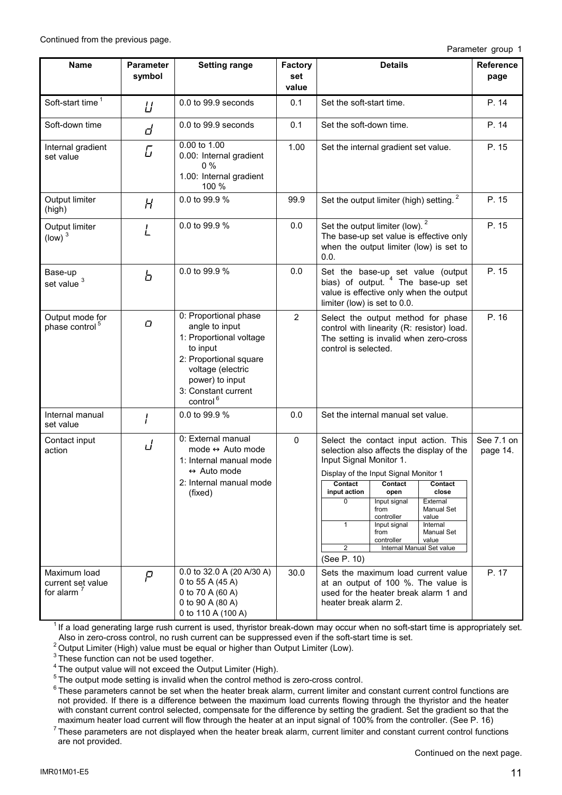Continued from the previous page.

Parameter group 1

| Name                                               | <b>Parameter</b><br>symbol | <b>Setting range</b>                                                                                                                                                                            | Factory<br>set | <b>Details</b>                                                                                                                                                                                                                                                                                                                                                                                                                                   | <b>Reference</b>       |
|----------------------------------------------------|----------------------------|-------------------------------------------------------------------------------------------------------------------------------------------------------------------------------------------------|----------------|--------------------------------------------------------------------------------------------------------------------------------------------------------------------------------------------------------------------------------------------------------------------------------------------------------------------------------------------------------------------------------------------------------------------------------------------------|------------------------|
|                                                    |                            |                                                                                                                                                                                                 | value          |                                                                                                                                                                                                                                                                                                                                                                                                                                                  | page                   |
| Soft-start time <sup>1</sup>                       | Ц                          | 0.0 to 99.9 seconds                                                                                                                                                                             | 0.1            | Set the soft-start time.                                                                                                                                                                                                                                                                                                                                                                                                                         | P. 14                  |
| Soft-down time                                     | d                          | $0.0$ to $99.9$ seconds                                                                                                                                                                         | 0.1            | Set the soft-down time.                                                                                                                                                                                                                                                                                                                                                                                                                          | P. 14                  |
| Internal gradient<br>set value                     | G                          | 0.00 to 1.00<br>0.00: Internal gradient<br>0%<br>1.00: Internal gradient<br>100 %                                                                                                               | 1.00           | Set the internal gradient set value.                                                                                                                                                                                                                                                                                                                                                                                                             | P. 15                  |
| Output limiter<br>(high)                           | H                          | 0.0 to 99.9 %                                                                                                                                                                                   | 99.9           | Set the output limiter (high) setting. <sup>2</sup>                                                                                                                                                                                                                                                                                                                                                                                              | P. 15                  |
| Output limiter<br>$\text{(low)}^3$                 | L                          | 0.0 to 99.9 %                                                                                                                                                                                   | 0.0            | Set the output limiter (low). <sup>2</sup><br>The base-up set value is effective only<br>when the output limiter (low) is set to<br>0.0.                                                                                                                                                                                                                                                                                                         | P. 15                  |
| Base-up<br>set value <sup>3</sup>                  | Ь                          | 0.0 to 99.9 %                                                                                                                                                                                   | 0.0            | Set the base-up set value (output<br>bias) of output. <sup>4</sup> The base-up set<br>value is effective only when the output<br>limiter (low) is set to 0.0.                                                                                                                                                                                                                                                                                    | P. 15                  |
| Output mode for<br>phase control <sup>5</sup>      | $\Box$                     | 0: Proportional phase<br>angle to input<br>1: Proportional voltage<br>to input<br>2: Proportional square<br>voltage (electric<br>power) to input<br>3: Constant current<br>control <sup>6</sup> | $\overline{2}$ | Select the output method for phase<br>control with linearity (R: resistor) load.<br>The setting is invalid when zero-cross<br>control is selected.                                                                                                                                                                                                                                                                                               | P. 16                  |
| Internal manual<br>set value                       | I                          | 0.0 to 99.9 %                                                                                                                                                                                   | 0.0            | Set the internal manual set value.                                                                                                                                                                                                                                                                                                                                                                                                               |                        |
| Contact input<br>action                            | J                          | 0: External manual<br>mode $\leftrightarrow$ Auto mode<br>1: Internal manual mode<br>$\leftrightarrow$ Auto mode<br>2: Internal manual mode<br>(fixed)                                          | $\pmb{0}$      | Select the contact input action. This<br>selection also affects the display of the<br>Input Signal Monitor 1.<br>Display of the Input Signal Monitor 1<br>Contact<br>Contact<br>Contact<br>input action<br>close<br>open<br>0<br>Input signal<br>External<br>Manual Set<br>from<br>value<br>controller<br>$\mathbf{1}$<br>Input signal<br>Internal<br>Manual Set<br>from<br>controller<br>value<br>2<br>Internal Manual Set value<br>(See P. 10) | See 7.1 on<br>page 14. |
| Maximum load<br>current set value<br>for alarm $7$ | $\varrho$                  | 0.0 to 32.0 A (20 A/30 A)<br>0 to 55 A (45 A)<br>0 to 70 A (60 A)<br>0 to 90 A (80 A)<br>0 to 110 A (100 A)                                                                                     | 30.0           | Sets the maximum load current value<br>at an output of 100 %. The value is<br>used for the heater break alarm 1 and<br>heater break alarm 2.                                                                                                                                                                                                                                                                                                     | P. 17                  |

 $1$  If a load generating large rush current is used, thyristor break-down may occur when no soft-start time is appropriately set. Also in zero-cross control, no rush current can be suppressed even if the soft-start time is set.

2 Output Limiter (High) value must be equal or higher than Output Limiter (Low).

<sup>3</sup> These function can not be used together.

<sup>4</sup> The output value will not exceed the Output Limiter (High).

<sup>5</sup> The output mode setting is invalid when the control method is zero-cross control.

 $6$  These parameters cannot be set when the heater break alarm, current limiter and constant current control functions are not provided. If there is a difference between the maximum load currents flowing through the thyristor and the heater with constant current control selected, compensate for the difference by setting the gradient. Set the gradient so that the maximum heater load current will flow through the heater at an input signal of 100% from the controller. (See P. 16)

 $7$  These parameters are not displayed when the heater break alarm, current limiter and constant current control functions are not provided.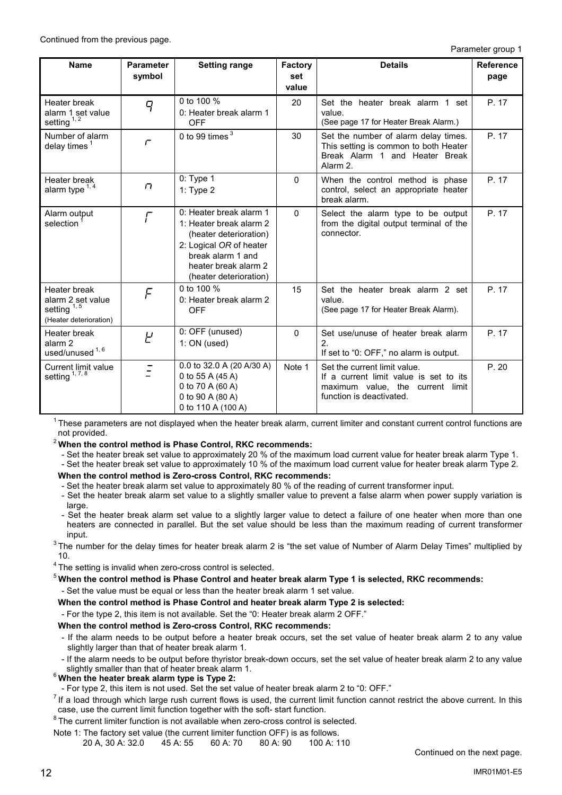Parameter group 1

| <b>Name</b>                                                                           | <b>Parameter</b><br>symbol | <b>Setting range</b>                                                                                                                                                           | Factory<br>set<br>value | <b>Details</b>                                                                                                                         | <b>Reference</b><br>page |
|---------------------------------------------------------------------------------------|----------------------------|--------------------------------------------------------------------------------------------------------------------------------------------------------------------------------|-------------------------|----------------------------------------------------------------------------------------------------------------------------------------|--------------------------|
| Heater break<br>alarm 1 set value<br>setting $1, 2$                                   | 9                          | 0 to 100 %<br>0: Heater break alarm 1<br><b>OFF</b>                                                                                                                            | 20                      | Set the heater break alarm 1 set<br>value.<br>(See page 17 for Heater Break Alarm.)                                                    | P. 17                    |
| Number of alarm<br>delay times $1$                                                    | $\Gamma$                   | 0 to 99 times $3$                                                                                                                                                              | 30                      | Set the number of alarm delay times.<br>This setting is common to both Heater<br>Break Alarm 1 and Heater Break<br>Alarm 2.            | P. 17                    |
| Heater break<br>alarm type $1, 4$                                                     | $\Gamma$                   | 0: Type 1<br>1: Type $2$                                                                                                                                                       | $\mathbf{0}$            | When the control method is phase<br>control, select an appropriate heater<br>break alarm.                                              | P. 17                    |
| Alarm output<br>selection                                                             | $\sqrt{ }$                 | 0: Heater break alarm 1<br>1: Heater break alarm 2<br>(heater deterioration)<br>2: Logical OR of heater<br>break alarm 1 and<br>heater break alarm 2<br>(heater deterioration) | $\Omega$                | Select the alarm type to be output<br>from the digital output terminal of the<br>connector.                                            | P. 17                    |
| Heater break<br>alarm 2 set value<br>setting <sup>1,5</sup><br>(Heater deterioration) | $\digamma$                 | 0 to 100 %<br>0: Heater break alarm 2<br><b>OFF</b>                                                                                                                            | 15                      | Set the heater break alarm 2 set<br>value.<br>(See page 17 for Heater Break Alarm).                                                    | P. 17                    |
| Heater break<br>alarm <sub>2</sub><br>used/unused <sup>1,6</sup>                      | Ч                          | 0: OFF (unused)<br>$1:ON$ (used)                                                                                                                                               | $\Omega$                | Set use/unuse of heater break alarm<br>2.<br>If set to "0: OFF," no alarm is output.                                                   | P. 17                    |
| Current limit value<br>setting <sup>1,7,8</sup>                                       |                            | 0.0 to 32.0 A (20 A/30 A)<br>0 to 55 A (45 A)<br>0 to 70 A (60 A)<br>0 to 90 A (80 A)<br>0 to 110 A (100 A)                                                                    | Note 1                  | Set the current limit value.<br>If a current limit value is set to its<br>maximum value, the current limit<br>function is deactivated. | P.20                     |

 $1$ These parameters are not displayed when the heater break alarm, current limiter and constant current control functions are not provided.

<sup>2</sup>**When the control method is Phase Control, RKC recommends:**

- Set the heater break set value to approximately 20 % of the maximum load current value for heater break alarm Type 1.

- Set the heater break set value to approximately 10 % of the maximum load current value for heater break alarm Type 2.

**When the control method is Zero-cross Control, RKC recommends:** 

- Set the heater break alarm set value to approximately 80 % of the reading of current transformer input.

- Set the heater break alarm set value to a slightly smaller value to prevent a false alarm when power supply variation is large.

- Set the heater break alarm set value to a slightly larger value to detect a failure of one heater when more than one heaters are connected in parallel. But the set value should be less than the maximum reading of current transformer

input.<br><sup>3</sup> The number for the delay times for heater break alarm 2 is "the set value of Number of Alarm Delay Times" multiplied by 10.

4 The setting is invalid when zero-cross control is selected.

<sup>5</sup>**When the control method is Phase Control and heater break alarm Type 1 is selected, RKC recommends:**

- Set the value must be equal or less than the heater break alarm 1 set value.

**When the control method is Phase Control and heater break alarm Type 2 is selected:** 

- For the type 2, this item is not available. Set the "0: Heater break alarm 2 OFF."

**When the control method is Zero-cross Control, RKC recommends:** 

- If the alarm needs to be output before a heater break occurs, set the set value of heater break alarm 2 to any value slightly larger than that of heater break alarm 1.

- If the alarm needs to be output before thyristor break-down occurs, set the set value of heater break alarm 2 to any value slightly smaller than that of heater break alarm 1.

shightly smaller than that of the heater break alarm type is Type 2:<br>For type 2. this item is not used. Set the set value of heater break alarm 2 to "0: OFF."

 $<sup>7</sup>$  If a load through which large rush current flows is used, the current limit function cannot restrict the above current. In this</sup> case, use the current limit function together with the soft- start function.

 $8$  The current limiter function is not available when zero-cross control is selected.

Note 1: The factory set value (the current limiter function OFF) is as follows.<br>20 A. 30 A: 32.0 45 A: 55 60 A: 70 80 A: 90 100 A: 110  $20 A. 30 A: 32.0$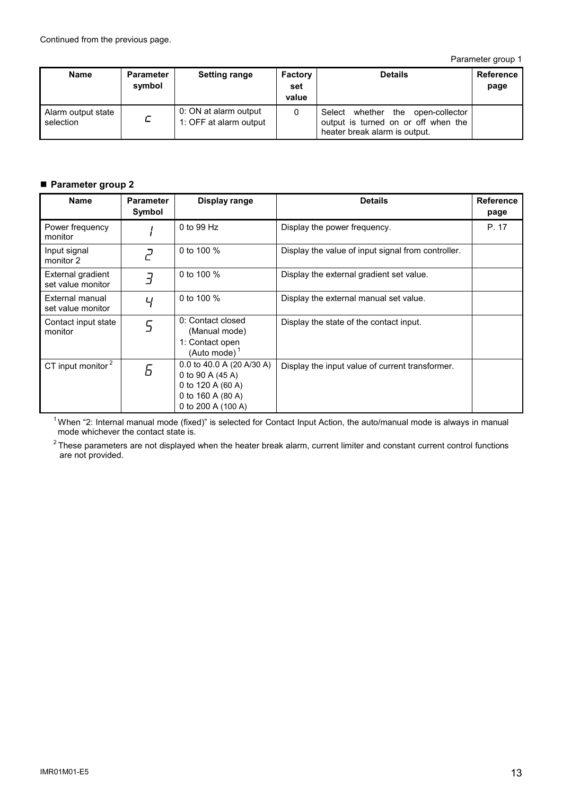Parameter group 1

| <b>Name</b>                     | <b>Parameter</b><br>symbol | <b>Setting range</b>                            | <b>Factory</b><br>set<br>value | <b>Details</b>                                                                                               | Reference<br>page |
|---------------------------------|----------------------------|-------------------------------------------------|--------------------------------|--------------------------------------------------------------------------------------------------------------|-------------------|
| Alarm output state<br>selection | с                          | 0: ON at alarm output<br>1: OFF at alarm output | 0                              | Select<br>whether the open-collector<br>output is turned on or off when the<br>heater break alarm is output. |                   |

# **Parameter group 2**

| <b>Name</b>                            | <b>Parameter</b><br>Symbol | Display range                                                                                                 | <b>Details</b>                                     | <b>Reference</b><br>page |
|----------------------------------------|----------------------------|---------------------------------------------------------------------------------------------------------------|----------------------------------------------------|--------------------------|
| Power frequency<br>monitor             |                            | 0 to 99 Hz                                                                                                    | Display the power frequency.                       | P. 17                    |
| Input signal<br>monitor 2              | $\vec{c}$                  | 0 to 100 %                                                                                                    | Display the value of input signal from controller. |                          |
| External gradient<br>set value monitor | $\overline{J}$             | 0 to 100 %                                                                                                    | Display the external gradient set value.           |                          |
| External manual<br>set value monitor   | ப                          | 0 to 100 %                                                                                                    | Display the external manual set value.             |                          |
| Contact input state<br>monitor         | $\overline{5}$             | 0: Contact closed<br>(Manual mode)<br>1: Contact open<br>(Auto mode) $1$                                      | Display the state of the contact input.            |                          |
| CT input monitor <sup>2</sup>          | Б                          | 0.0 to 40.0 A (20 A/30 A)<br>0 to 90 A (45 A)<br>0 to 120 A (60 A)<br>0 to 160 A (80 A)<br>0 to 200 A (100 A) | Display the input value of current transformer.    |                          |

<sup>1</sup>When "2: Internal manual mode (fixed)" is selected for Contact Input Action, the auto/manual mode is always in manual mode whichever the contact state is.

 $2$  These parameters are not displayed when the heater break alarm, current limiter and constant current control functions are not provided.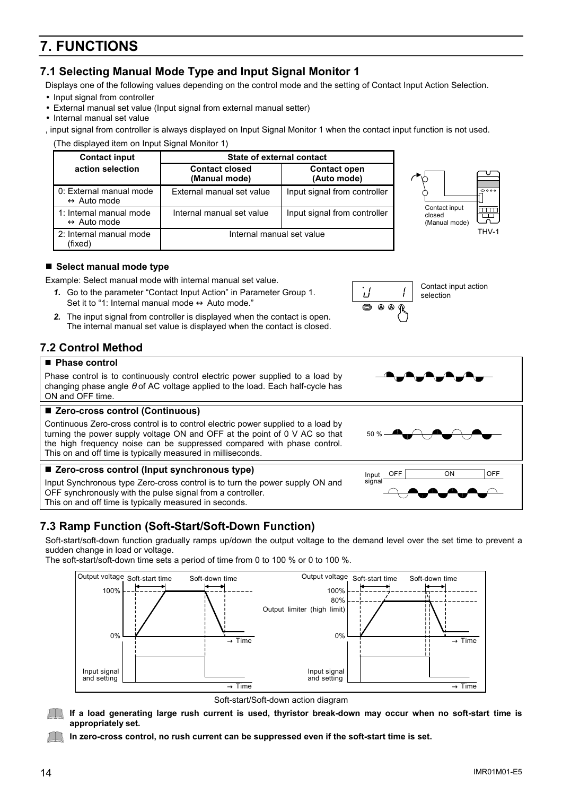$\rightarrow$  Time

 $\rightarrow$  Time

# **7. FUNCTIONS**

# **7.1 Selecting Manual Mode Type and Input Signal Monitor 1**

**Contact input State of external contact** 

**(Manual mode)** 

Displays one of the following values depending on the control mode and the setting of Contact Input Action Selection.

- Input signal from controller
- External manual set value (Input signal from external manual setter)
- Internal manual set value

, input signal from controller is always displayed on Input Signal Monitor 1 when the contact input function is not used. (The displayed item on Input Signal Monitor 1)

External manual set value  $\vert$  Input signal from controller

Internal manual set value | Input signal from controller

Internal manual set value

**Contact open (Auto mode)** 

# ■ Select manual mode type

0: External manual mode ↔ Auto mode

1: Internal manual mode  $\leftrightarrow$  Auto mode

2: Internal manual mode

Example: Select manual mode with internal manual set value.

**action selection Contact closed** 

- *1.* Go to the parameter "Contact Input Action" in Parameter Group 1. Set it to "1: Internal manual mode  $\leftrightarrow$  Auto mode."
- *2.* The input signal from controller is displayed when the contact is open. The internal manual set value is displayed when the contact is closed.

# **7.2 Control Method**

### ■ Phase control

(fixed)

Phase control is to continuously control electric power supplied to a load by changing phase angle  $\theta$  of AC voltage applied to the load. Each half-cycle has ON and OFF time.

# ■ Zero-cross control (Continuous)

100% Output voltage Soft-start time

Input signal and setting

Continuous Zero-cross control is to control electric power supplied to a load by turning the power supply voltage ON and OFF at the point of 0 V AC so that the high frequency noise can be suppressed compared with phase control. This on and off time is typically measured in milliseconds.

### ■ Zero-cross control (Input synchronous type)

Input Synchronous type Zero-cross control is to turn the power supply ON and OFF synchronously with the pulse signal from a controller. This on and off time is typically measured in seconds.

# **7.3 Ramp Function (Soft-Start/Soft-Down Function)**

Soft-start/soft-down function gradually ramps up/down the output voltage to the demand level over the set time to prevent a sudden change in load or voltage.

The soft-start/soft-down time sets a period of time from 0 to 100 % or 0 to 100 %.

Soft-down time



Soft-start/Soft-down action diagram

**In zero-cross control, no rush current can be suppressed even if the soft-start time is set.** 

 $\rightarrow$  Time

0% 0%





Contact input closed (Manual mode)

THV-1





Soft-start time Soft-down time

 $\rightarrow$  Time Input signal and setting

Output limiter (high limit)

100% Output voltage

80%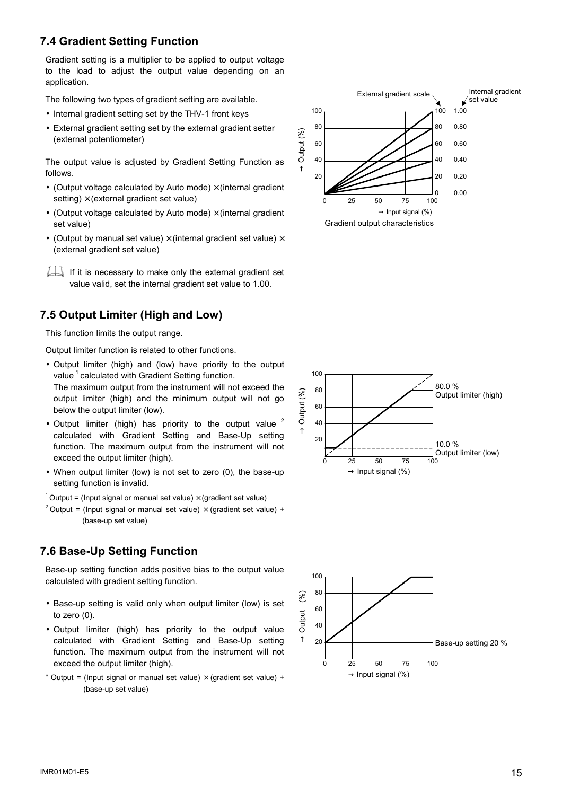# **7.4 Gradient Setting Function**

Gradient setting is a multiplier to be applied to output voltage to the load to adjust the output value depending on an application.

The following two types of gradient setting are available.

- Internal gradient setting set by the THV-1 front keys
- External gradient setting set by the external gradient setter (external potentiometer)

The output value is adjusted by Gradient Setting Function as follows.

- (Output voltage calculated by Auto mode)  $\times$  (internal gradient setting)  $\times$  (external gradient set value)
- (Output voltage calculated by Auto mode)  $\times$  (internal gradient set value)
- (Output by manual set value)  $\times$  (internal gradient set value)  $\times$ (external gradient set value)

If it is necessary to make only the external gradient set value valid, set the internal gradient set value to 1.00.

# **7.5 Output Limiter (High and Low)**

This function limits the output range.

Output limiter function is related to other functions.

- Output limiter (high) and (low) have priority to the output value<sup>1</sup> calculated with Gradient Setting function. The maximum output from the instrument will not exceed the output limiter (high) and the minimum output will not go below the output limiter (low).
- Output limiter (high) has priority to the output value  $2$ calculated with Gradient Setting and Base-Up setting function. The maximum output from the instrument will not exceed the output limiter (high).
- When output limiter (low) is not set to zero (0), the base-up setting function is invalid.

<sup>1</sup> Output = (Input signal or manual set value)  $\times$  (gradient set value)

<sup>2</sup> Output = (Input signal or manual set value)  $\times$  (gradient set value) + (base-up set value)

# **7.6 Base-Up Setting Function**

Base-up setting function adds positive bias to the output value calculated with gradient setting function.

- Base-up setting is valid only when output limiter (low) is set to zero (0).
- Output limiter (high) has priority to the output value calculated with Gradient Setting and Base-Up setting function. The maximum output from the instrument will not exceed the output limiter (high).
- \* Output = (Input signal or manual set value)  $\times$  (gradient set value) + (base-up set value)







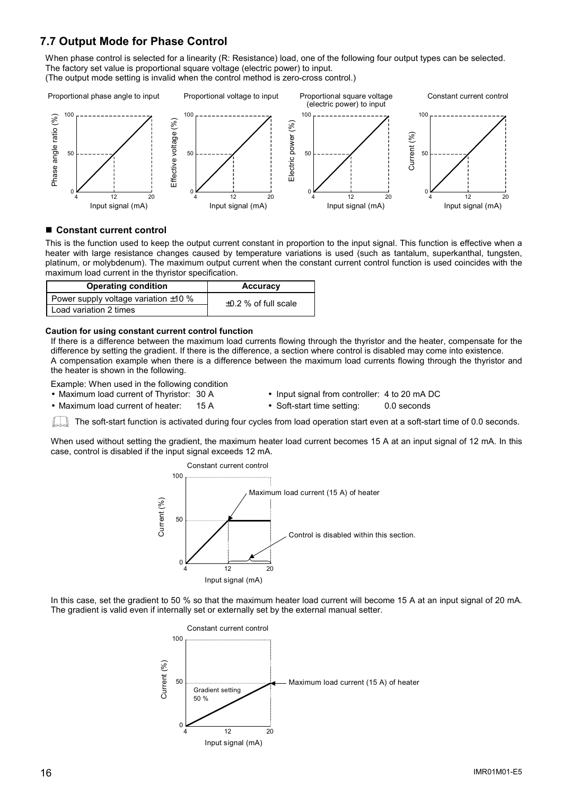# **7.7 Output Mode for Phase Control**

When phase control is selected for a linearity (R: Resistance) load, one of the following four output types can be selected. The factory set value is proportional square voltage (electric power) to input. (The output mode setting is invalid when the control method is zero-cross control.)



#### ■ Constant current control

This is the function used to keep the output current constant in proportion to the input signal. This function is effective when a heater with large resistance changes caused by temperature variations is used (such as tantalum, superkanthal, tungsten, platinum, or molybdenum). The maximum output current when the constant current control function is used coincides with the maximum load current in the thyristor specification.

| <b>Operating condition</b>                | <b>Accuracy</b>           |
|-------------------------------------------|---------------------------|
| Power supply voltage variation $\pm 10$ % | $\pm 0.2$ % of full scale |
| Load variation 2 times                    |                           |

#### **Caution for using constant current control function**

If there is a difference between the maximum load currents flowing through the thyristor and the heater, compensate for the difference by setting the gradient. If there is the difference, a section where control is disabled may come into existence. A compensation example when there is a difference between the maximum load currents flowing through the thyristor and the heater is shown in the following.

Example: When used in the following condition

- 
- Maximum load current of heater: 15 A Soft-start time setting: 0.0 seconds
- Maximum load current of Thyristor: 30 A Input signal from controller: 4 to 20 mA DC
	-

The soft-start function is activated during four cycles from load operation start even at a soft-start time of 0.0 seconds.

When used without setting the gradient, the maximum heater load current becomes 15 A at an input signal of 12 mA. In this case, control is disabled if the input signal exceeds 12 mA.



In this case, set the gradient to 50 % so that the maximum heater load current will become 15 A at an input signal of 20 mA. The gradient is valid even if internally set or externally set by the external manual setter.

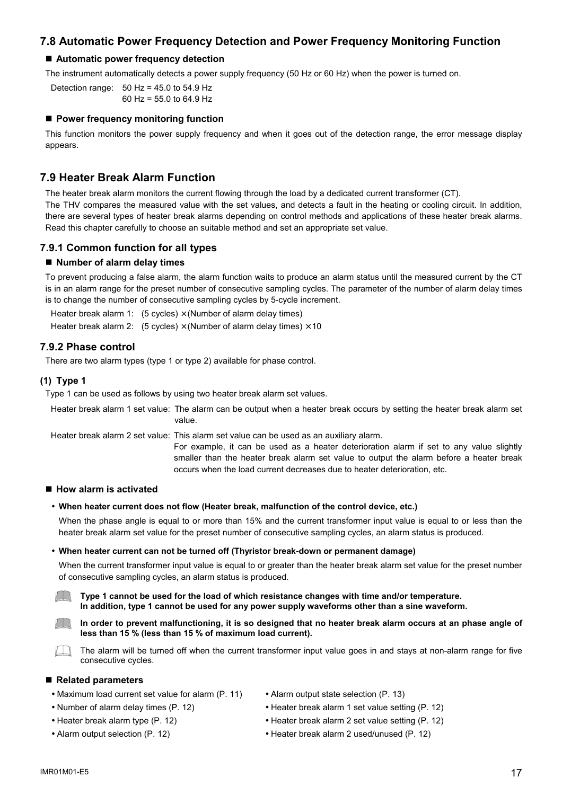# **7.8 Automatic Power Frequency Detection and Power Frequency Monitoring Function**

#### **Automatic power frequency detection**

The instrument automatically detects a power supply frequency (50 Hz or 60 Hz) when the power is turned on.

Detection range: 50 Hz = 45.0 to 54.9 Hz 60 Hz = 55.0 to 64.9 Hz

#### **Power frequency monitoring function**

This function monitors the power supply frequency and when it goes out of the detection range, the error message display appears.

# **7.9 Heater Break Alarm Function**

The heater break alarm monitors the current flowing through the load by a dedicated current transformer (CT). The THV compares the measured value with the set values, and detects a fault in the heating or cooling circuit. In addition, there are several types of heater break alarms depending on control methods and applications of these heater break alarms. Read this chapter carefully to choose an suitable method and set an appropriate set value.

### **7.9.1 Common function for all types**

#### ■ Number of alarm delay times

To prevent producing a false alarm, the alarm function waits to produce an alarm status until the measured current by the CT is in an alarm range for the preset number of consecutive sampling cycles. The parameter of the number of alarm delay times is to change the number of consecutive sampling cycles by 5-cycle increment.

Heater break alarm 1:  $(5 \text{ cycles}) \times (Number \text{ of alarm delay times})$ Heater break alarm 2: (5 cycles)  $\times$  (Number of alarm delay times)  $\times$  10

### **7.9.2 Phase control**

There are two alarm types (type 1 or type 2) available for phase control.

#### **(1) Type 1**

Type 1 can be used as follows by using two heater break alarm set values.

Heater break alarm 1 set value: The alarm can be output when a heater break occurs by setting the heater break alarm set value.

Heater break alarm 2 set value: This alarm set value can be used as an auxiliary alarm.

For example, it can be used as a heater deterioration alarm if set to any value slightly smaller than the heater break alarm set value to output the alarm before a heater break occurs when the load current decreases due to heater deterioration, etc.

#### ■ How alarm is activated

#### • **When heater current does not flow (Heater break, malfunction of the control device, etc.)**

When the phase angle is equal to or more than 15% and the current transformer input value is equal to or less than the heater break alarm set value for the preset number of consecutive sampling cycles, an alarm status is produced.

#### • **When heater current can not be turned off (Thyristor break-down or permanent damage)**

When the current transformer input value is equal to or greater than the heater break alarm set value for the preset number of consecutive sampling cycles, an alarm status is produced.

 $\mathbb{I}$  II **Type 1 cannot be used for the load of which resistance changes with time and/or temperature. In addition, type 1 cannot be used for any power supply waveforms other than a sine waveform.**

 $\Box$ **In order to prevent malfunctioning, it is so designed that no heater break alarm occurs at an phase angle of less than 15 % (less than 15 % of maximum load current).** 

 $\Box$ The alarm will be turned off when the current transformer input value goes in and stays at non-alarm range for five consecutive cycles.

#### **Related parameters**

- Maximum load current set value for alarm (P. 11) Alarm output state selection (P. 13)
- Number of alarm delay times (P. 12) Heater break alarm 1 set value setting (P. 12)
- 
- 
- 
- 
- Heater break alarm type (P. 12) Heater break alarm 2 set value setting (P. 12)
- Alarm output selection (P. 12) Heater break alarm 2 used/unused (P. 12)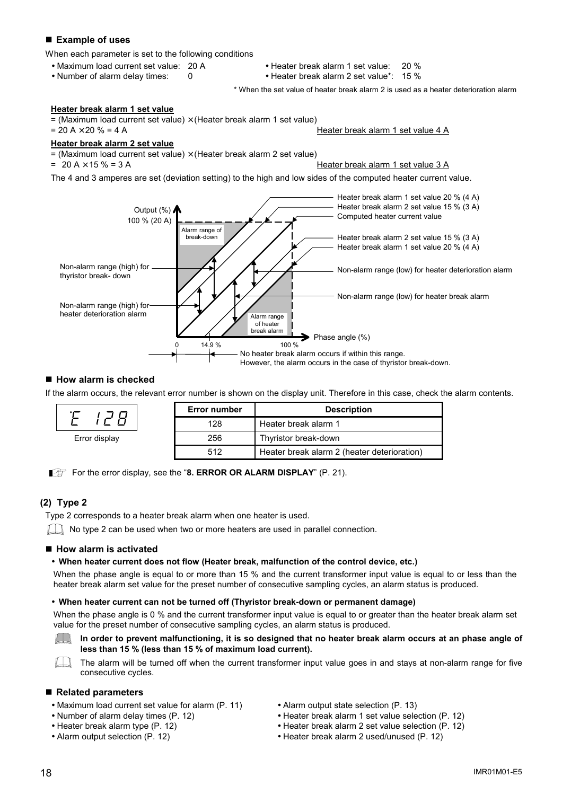### **Example of uses**

When each parameter is set to the following conditions

- 
- 
- Maximum load current set value: 20 A Heater break alarm 1 set value: 20 %

• Number of alarm delay times: 0 • Heater break alarm 2 set value\*: 15 %

\* When the set value of heater break alarm 2 is used as a heater deterioration alarm

#### **Heater break alarm 1 set value**

= (Maximum load current set value)  $\times$  (Heater break alarm 1 set value)<br>= 20 A  $\times$  20 % = 4 A

#### Heater break alarm 1 set value 4 A

#### **Heater break alarm 2 set value**

 $=$  (Maximum load current set value)  $\times$  (Heater break alarm 2 set value)

 $= 20 A \times 15 \% = 3 A$  Heater break alarm 1 set value 3 A

The 4 and 3 amperes are set (deviation setting) to the high and low sides of the computed heater current value.



#### ■ How alarm is checked

If the alarm occurs, the relevant error number is shown on the display unit. Therefore in this case, check the alarm contents.

|               | <b>Error number</b> | <b>Description</b>                          |
|---------------|---------------------|---------------------------------------------|
|               | 128                 | Heater break alarm 1                        |
| Error display | 256                 | Thyristor break-down                        |
|               | 512                 | Heater break alarm 2 (heater deterioration) |

For the error display, see the "8. **ERROR OR ALARM DISPLAY**" (P. 21).

### **(2) Type 2**

Type 2 corresponds to a heater break alarm when one heater is used.

 $\Box$  No type 2 can be used when two or more heaters are used in parallel connection.

#### ■ How alarm is activated

#### • **When heater current does not flow (Heater break, malfunction of the control device, etc.)**

When the phase angle is equal to or more than 15 % and the current transformer input value is equal to or less than the heater break alarm set value for the preset number of consecutive sampling cycles, an alarm status is produced.

#### • **When heater current can not be turned off (Thyristor break-down or permanent damage)**

When the phase angle is 0 % and the current transformer input value is equal to or greater than the heater break alarm set value for the preset number of consecutive sampling cycles, an alarm status is produced.



In order to prevent malfunctioning, it is so designed that no heater break alarm occurs at an phase angle of **less than 15 % (less than 15 % of maximum load current).** 

 $\Box$ The alarm will be turned off when the current transformer input value goes in and stays at non-alarm range for five consecutive cycles.

#### ■ Related parameters

- Maximum load current set value for alarm (P. 11) Alarm output state selection (P. 13)
- 
- 
- 
- 
- Number of alarm delay times (P. 12) Heater break alarm 1 set value selection (P. 12)
- Heater break alarm type (P. 12) Heater break alarm 2 set value selection (P. 12)
- Alarm output selection (P. 12) Heater break alarm 2 used/unused (P. 12)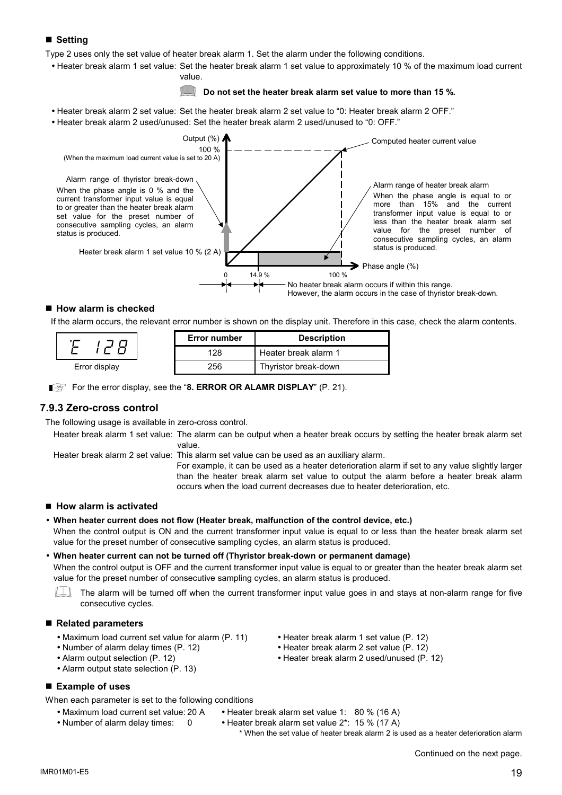# **Setting**

Type 2 uses only the set value of heater break alarm 1. Set the alarm under the following conditions.

• Heater break alarm 1 set value: Set the heater break alarm 1 set value to approximately 10 % of the maximum load current value.

### **Do not set the heater break alarm set value to more than 15 %.**

- Heater break alarm 2 set value: Set the heater break alarm 2 set value to "0: Heater break alarm 2 OFF."
- Heater break alarm 2 used/unused: Set the heater break alarm 2 used/unused to "0: OFF."



#### ■ How alarm is checked

If the alarm occurs, the relevant error number is shown on the display unit. Therefore in this case, check the alarm contents.

|               | <b>Error number</b> | <b>Description</b>   |
|---------------|---------------------|----------------------|
|               | 128                 | Heater break alarm 1 |
| Error display | 256                 | Thyristor break-down |

For the error display, see the "8. ERROR OR ALAMR DISPLAY" (P. 21).

### **7.9.3 Zero-cross control**

The following usage is available in zero-cross control.

Heater break alarm 1 set value: The alarm can be output when a heater break occurs by setting the heater break alarm set value.

Heater break alarm 2 set value: This alarm set value can be used as an auxiliary alarm.

For example, it can be used as a heater deterioration alarm if set to any value slightly larger than the heater break alarm set value to output the alarm before a heater break alarm occurs when the load current decreases due to heater deterioration, etc.

### ■ How alarm is activated

• **When heater current does not flow (Heater break, malfunction of the control device, etc.)** 

When the control output is ON and the current transformer input value is equal to or less than the heater break alarm set value for the preset number of consecutive sampling cycles, an alarm status is produced.

• **When heater current can not be turned off (Thyristor break-down or permanent damage)**  When the control output is OFF and the current transformer input value is equal to or greater than the heater break alarm set value for the preset number of consecutive sampling cycles, an alarm status is produced.

 $\eta$  |  $\eta$ The alarm will be turned off when the current transformer input value goes in and stays at non-alarm range for five consecutive cycles.

#### **Related parameters**

- Maximum load current set value for alarm (P. 11) Heater break alarm 1 set value (P. 12)<br>• Number of alarm delay times (P. 12) Heater break alarm 2 set value (P. 12)
- 
- 
- Alarm output state selection (P. 13)

### **Example of uses**

When each parameter is set to the following conditions

- Maximum load current set value: 20 A Heater break alarm set value 1: 80 % (16 A)
- Number of alarm delay times: 0 Heater break alarm set value 2\*: 15 % (17 A)

\* When the set value of heater break alarm 2 is used as a heater deterioration alarm

 $INRO1MO1-E5$  and  $19$ 

- 
- $\bullet$  Heater break alarm 2 set value (P. 12)
- Alarm output selection (P. 12) Heater break alarm 2 used/unused (P. 12)
	-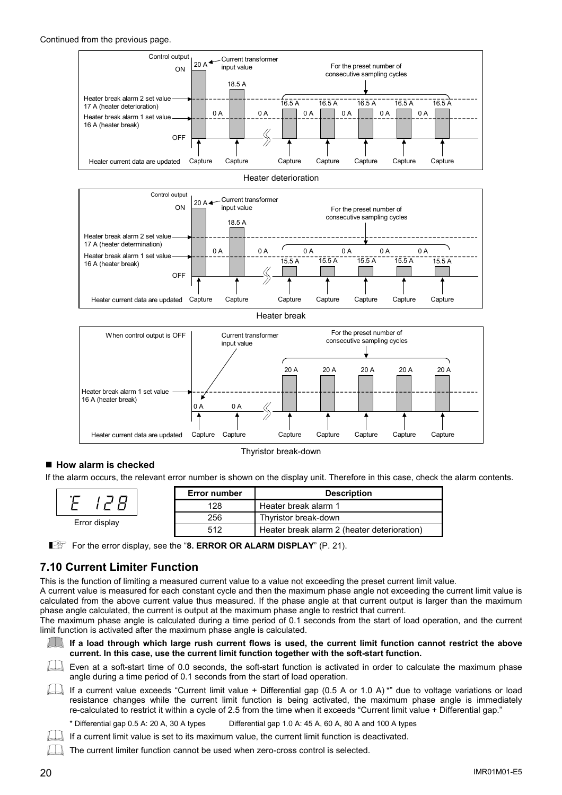#### Continued from the previous page.











Thyristor break-down

# ■ How alarm is checked

Erro

Έ

If the alarm occurs, the relevant error number is shown on the display unit. Therefore in this case, check the alarm contents.

|           | <b>Error number</b> | <b>Description</b>                          |
|-----------|---------------------|---------------------------------------------|
|           | 128                 | Heater break alarm 1                        |
| r displav | 256                 | Thyristor break-down                        |
|           | 512                 | Heater break alarm 2 (heater deterioration) |

For the error display, see the "8. ERROR OR ALARM DISPLAY" (P. 21).

# **7.10 Current Limiter Function**

This is the function of limiting a measured current value to a value not exceeding the preset current limit value.

A current value is measured for each constant cycle and then the maximum phase angle not exceeding the current limit value is calculated from the above current value thus measured. If the phase angle at that current output is larger than the maximum phase angle calculated, the current is output at the maximum phase angle to restrict that current.

The maximum phase angle is calculated during a time period of 0.1 seconds from the start of load operation, and the current limit function is activated after the maximum phase angle is calculated.



#### If a load through which large rush current flows is used, the current limit function cannot restrict the above **current. In this case, use the current limit function together with the soft-start function.**

EU Even at a soft-start time of 0.0 seconds, the soft-start function is activated in order to calculate the maximum phase angle during a time period of 0.1 seconds from the start of load operation.

If a current value exceeds "Current limit value + Differential gap (0.5 A or 1.0 A) \*" due to voltage variations or load resistance changes while the current limit function is being activated, the maximum phase angle is immediately re-calculated to restrict it within a cycle of 2.5 from the time when it exceeds "Current limit value + Differential gap."



\* Differential gap 0.5 A: 20 A, 30 A types Differential gap 1.0 A: 45 A, 60 A, 80 A and 100 A types

If a current limit value is set to its maximum value, the current limit function is deactivated.

The current limiter function cannot be used when zero-cross control is selected.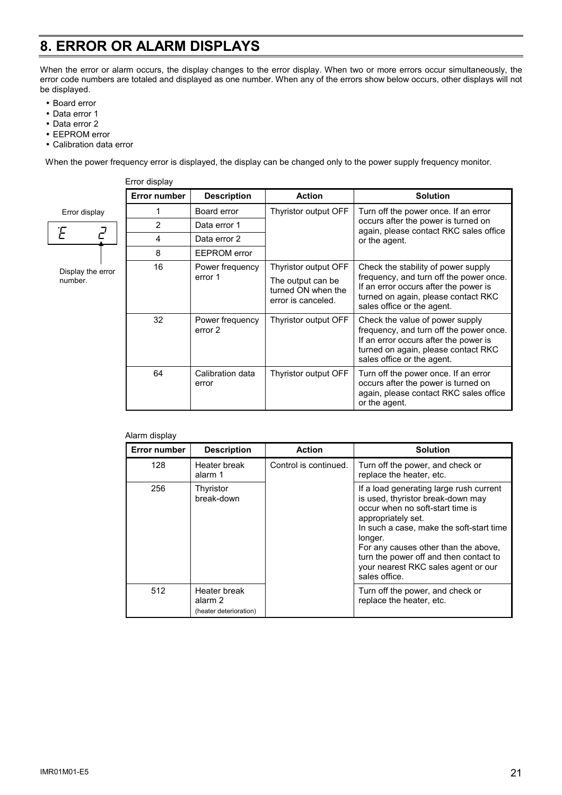# **8. ERROR OR ALARM DISPLAYS**

When the error or alarm occurs, the display changes to the error display. When two or more errors occur simultaneously, the error code numbers are totaled and displayed as one number. When any of the errors show below occurs, other displays will not be displayed.

- Board error
- Data error 1
- Data error 2
- EEPROM error
- Calibration data error

When the power frequency error is displayed, the display can be changed only to the power supply frequency monitor.

|                              | Error display       |                            |                                                               |                                                                                                                                                                                          |  |  |  |
|------------------------------|---------------------|----------------------------|---------------------------------------------------------------|------------------------------------------------------------------------------------------------------------------------------------------------------------------------------------------|--|--|--|
|                              | <b>Error number</b> | <b>Description</b>         | <b>Action</b>                                                 | <b>Solution</b>                                                                                                                                                                          |  |  |  |
| Error display                |                     | Board error                | Thyristor output OFF                                          | Turn off the power once. If an error<br>occurs after the power is turned on<br>again, please contact RKC sales office<br>or the agent.                                                   |  |  |  |
| $\mathcal{F}$                | $\overline{2}$      | Data error 1               |                                                               |                                                                                                                                                                                          |  |  |  |
|                              | 4                   | Data error 2               |                                                               |                                                                                                                                                                                          |  |  |  |
|                              | 8                   | <b>EEPROM</b> error        |                                                               |                                                                                                                                                                                          |  |  |  |
| Display the error<br>number. | 16                  | Power frequency            | Thyristor output OFF                                          | Check the stability of power supply                                                                                                                                                      |  |  |  |
|                              |                     | error 1                    | The output can be<br>turned ON when the<br>error is canceled. | frequency, and turn off the power once.<br>If an error occurs after the power is<br>turned on again, please contact RKC<br>sales office or the agent.                                    |  |  |  |
|                              | 32                  | Power frequency<br>error 2 | Thyristor output OFF                                          | Check the value of power supply<br>frequency, and turn off the power once.<br>If an error occurs after the power is<br>turned on again, please contact RKC<br>sales office or the agent. |  |  |  |
|                              | 64                  | Calibration data<br>error  | Thyristor output OFF                                          | Turn off the power once. If an error<br>occurs after the power is turned on<br>again, please contact RKC sales office<br>or the agent.                                                   |  |  |  |

Alarm display

| <b>Error number</b> | <b>Description</b>                                | <b>Action</b>         | <b>Solution</b>                                                                                                                                                                                                                                                                                                                         |  |  |
|---------------------|---------------------------------------------------|-----------------------|-----------------------------------------------------------------------------------------------------------------------------------------------------------------------------------------------------------------------------------------------------------------------------------------------------------------------------------------|--|--|
| 128                 | Heater break<br>alarm 1                           | Control is continued. | Turn off the power, and check or<br>replace the heater, etc.                                                                                                                                                                                                                                                                            |  |  |
| 256                 | Thyristor<br>break-down                           |                       | If a load generating large rush current<br>is used, thyristor break-down may<br>occur when no soft-start time is<br>appropriately set.<br>In such a case, make the soft-start time<br>longer.<br>For any causes other than the above,<br>turn the power off and then contact to<br>your nearest RKC sales agent or our<br>sales office. |  |  |
| 512                 | Heater break<br>alarm 2<br>(heater deterioration) |                       | Turn off the power, and check or<br>replace the heater, etc.                                                                                                                                                                                                                                                                            |  |  |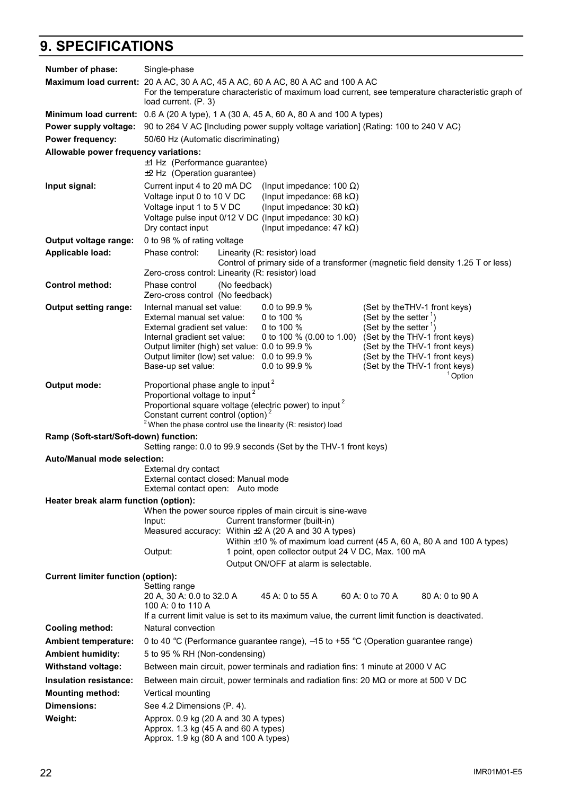# **9. SPECIFICATIONS**

| Number of phase:                                                                             | Single-phase                                                                                                                                                                                                                                                                                                                        |  |                                                                                                                     |  |                                                                                                                                                                                                                                                                      |                                                                                  |
|----------------------------------------------------------------------------------------------|-------------------------------------------------------------------------------------------------------------------------------------------------------------------------------------------------------------------------------------------------------------------------------------------------------------------------------------|--|---------------------------------------------------------------------------------------------------------------------|--|----------------------------------------------------------------------------------------------------------------------------------------------------------------------------------------------------------------------------------------------------------------------|----------------------------------------------------------------------------------|
|                                                                                              | Maximum load current: 20 A AC, 30 A AC, 45 A AC, 60 A AC, 80 A AC and 100 A AC<br>For the temperature characteristic of maximum load current, see temperature characteristic graph of<br>load current. (P. 3)                                                                                                                       |  |                                                                                                                     |  |                                                                                                                                                                                                                                                                      |                                                                                  |
| <b>Minimum load current:</b> 0.6 A (20 A type), 1 A (30 A, 45 A, 60 A, 80 A and 100 A types) |                                                                                                                                                                                                                                                                                                                                     |  |                                                                                                                     |  |                                                                                                                                                                                                                                                                      |                                                                                  |
| Power supply voltage:<br>Power frequency:                                                    | 50/60 Hz (Automatic discriminating)                                                                                                                                                                                                                                                                                                 |  | 90 to 264 V AC [Including power supply voltage variation] (Rating: 100 to 240 V AC)                                 |  |                                                                                                                                                                                                                                                                      |                                                                                  |
| Allowable power frequency variations:                                                        |                                                                                                                                                                                                                                                                                                                                     |  |                                                                                                                     |  |                                                                                                                                                                                                                                                                      |                                                                                  |
|                                                                                              | ±1 Hz (Performance guarantee)<br>$±2$ Hz (Operation guarantee)                                                                                                                                                                                                                                                                      |  |                                                                                                                     |  |                                                                                                                                                                                                                                                                      |                                                                                  |
| Input signal:                                                                                | Current input 4 to 20 mA DC<br>(Input impedance: 100 $\Omega$ )<br>Voltage input 0 to 10 V DC<br>(Input impedance: 68 k $\Omega$ )<br>Voltage input 1 to 5 V DC<br>(Input impedance: 30 k $\Omega$ )<br>Voltage pulse input $0/12$ V DC (Input impedance: 30 k $\Omega$ )<br>(Input impedance: 47 k $\Omega$ )<br>Dry contact input |  |                                                                                                                     |  |                                                                                                                                                                                                                                                                      |                                                                                  |
| Output voltage range:                                                                        | 0 to 98 % of rating voltage                                                                                                                                                                                                                                                                                                         |  |                                                                                                                     |  |                                                                                                                                                                                                                                                                      |                                                                                  |
| Applicable load:                                                                             | Phase control:                                                                                                                                                                                                                                                                                                                      |  | Linearity (R: resistor) load                                                                                        |  |                                                                                                                                                                                                                                                                      | Control of primary side of a transformer (magnetic field density 1.25 T or less) |
|                                                                                              | Zero-cross control: Linearity (R: resistor) load                                                                                                                                                                                                                                                                                    |  |                                                                                                                     |  |                                                                                                                                                                                                                                                                      |                                                                                  |
| <b>Control method:</b>                                                                       | (No feedback)<br>Phase control<br>Zero-cross control (No feedback)                                                                                                                                                                                                                                                                  |  |                                                                                                                     |  |                                                                                                                                                                                                                                                                      |                                                                                  |
| <b>Output setting range:</b>                                                                 | Internal manual set value:<br>External manual set value:<br>External gradient set value:<br>Internal gradient set value:<br>Output limiter (high) set value: 0.0 to 99.9 %<br>Output limiter (low) set value: 0.0 to 99.9 %<br>Base-up set value:                                                                                   |  | 0.0 to 99.9 $%$<br>0 to 100 $%$<br>0 to 100 %<br>0 to 100 % (0.00 to 1.00)<br>0.0 to 99.9 %                         |  | (Set by the THV-1 front keys)<br>(Set by the setter $\frac{1}{2}$ )<br>(Set by the setter $\frac{1}{1}$ )<br>(Set by the THV-1 front keys)<br>(Set by the THV-1 front keys)<br>(Set by the THV-1 front keys)<br>(Set by the THV-1 front keys)<br><sup>1</sup> Option |                                                                                  |
| Output mode:                                                                                 | Proportional phase angle to input <sup>2</sup><br>Proportional voltage to input <sup>2</sup><br>Proportional square voltage (electric power) to input <sup>2</sup><br>Constant current control (option) <sup>2</sup><br><sup>2</sup> When the phase control use the linearity (R: resistor) load                                    |  |                                                                                                                     |  |                                                                                                                                                                                                                                                                      |                                                                                  |
| Ramp (Soft-start/Soft-down) function:                                                        |                                                                                                                                                                                                                                                                                                                                     |  | Setting range: 0.0 to 99.9 seconds (Set by the THV-1 front keys)                                                    |  |                                                                                                                                                                                                                                                                      |                                                                                  |
|                                                                                              | Auto/Manual mode selection:<br>External dry contact<br>External contact closed: Manual mode<br>External contact open: Auto mode                                                                                                                                                                                                     |  |                                                                                                                     |  |                                                                                                                                                                                                                                                                      |                                                                                  |
| Heater break alarm function (option):                                                        |                                                                                                                                                                                                                                                                                                                                     |  |                                                                                                                     |  |                                                                                                                                                                                                                                                                      |                                                                                  |
|                                                                                              | When the power source ripples of main circuit is sine-wave<br>Current transformer (built-in)<br>Input:<br>Measured accuracy: Within $\pm 2$ A (20 A and 30 A types)<br>Within $\pm$ 10 % of maximum load current (45 A, 60 A, 80 A and 100 A types)<br>1 point, open collector output 24 V DC, Max. 100 mA<br>Output:               |  |                                                                                                                     |  |                                                                                                                                                                                                                                                                      |                                                                                  |
| Output ON/OFF at alarm is selectable.                                                        |                                                                                                                                                                                                                                                                                                                                     |  |                                                                                                                     |  |                                                                                                                                                                                                                                                                      |                                                                                  |
| <b>Current limiter function (option):</b>                                                    |                                                                                                                                                                                                                                                                                                                                     |  |                                                                                                                     |  |                                                                                                                                                                                                                                                                      |                                                                                  |
|                                                                                              | Setting range<br>20 A, 30 A: 0.0 to 32.0 A<br>100 A: 0 to 110 A                                                                                                                                                                                                                                                                     |  | 45 A: 0 to 55 A<br>If a current limit value is set to its maximum value, the current limit function is deactivated. |  | 60 A: 0 to 70 A                                                                                                                                                                                                                                                      | 80 A: 0 to 90 A                                                                  |
| <b>Cooling method:</b>                                                                       | Natural convection                                                                                                                                                                                                                                                                                                                  |  |                                                                                                                     |  |                                                                                                                                                                                                                                                                      |                                                                                  |
| <b>Ambient temperature:</b>                                                                  | 0 to 40 °C (Performance guarantee range), -15 to +55 °C (Operation guarantee range)                                                                                                                                                                                                                                                 |  |                                                                                                                     |  |                                                                                                                                                                                                                                                                      |                                                                                  |
| <b>Ambient humidity:</b>                                                                     | 5 to 95 % RH (Non-condensing)                                                                                                                                                                                                                                                                                                       |  |                                                                                                                     |  |                                                                                                                                                                                                                                                                      |                                                                                  |
| <b>Withstand voltage:</b>                                                                    | Between main circuit, power terminals and radiation fins: 1 minute at 2000 V AC                                                                                                                                                                                                                                                     |  |                                                                                                                     |  |                                                                                                                                                                                                                                                                      |                                                                                  |
| Insulation resistance:                                                                       | Between main circuit, power terminals and radiation fins: 20 $\text{M}\Omega$ or more at 500 V DC                                                                                                                                                                                                                                   |  |                                                                                                                     |  |                                                                                                                                                                                                                                                                      |                                                                                  |
| <b>Mounting method:</b>                                                                      | Vertical mounting                                                                                                                                                                                                                                                                                                                   |  |                                                                                                                     |  |                                                                                                                                                                                                                                                                      |                                                                                  |
| <b>Dimensions:</b>                                                                           | See 4.2 Dimensions (P. 4).                                                                                                                                                                                                                                                                                                          |  |                                                                                                                     |  |                                                                                                                                                                                                                                                                      |                                                                                  |
| Weight:                                                                                      | Approx. 0.9 kg (20 A and 30 A types)                                                                                                                                                                                                                                                                                                |  |                                                                                                                     |  |                                                                                                                                                                                                                                                                      |                                                                                  |
|                                                                                              | Approx. 1.3 kg (45 A and 60 A types)<br>Approx. 1.9 kg (80 A and 100 A types)                                                                                                                                                                                                                                                       |  |                                                                                                                     |  |                                                                                                                                                                                                                                                                      |                                                                                  |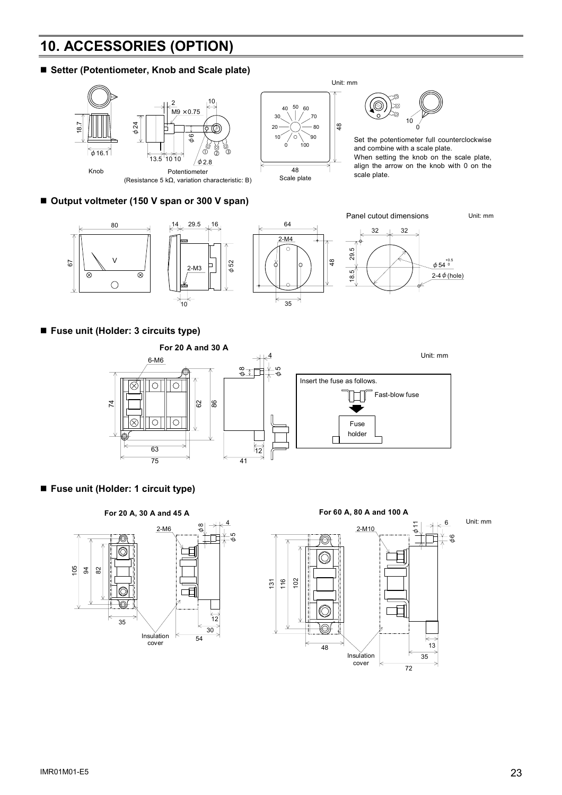# **10. ACCESSORIES (OPTION)**

### ■ Setter (Potentiometer, Knob and Scale plate)



### ■ Output voltmeter (150 V span or 300 V span)



### **Fuse unit (Holder: 3 circuits type)**



**Fuse unit (Holder: 1 circuit type)**